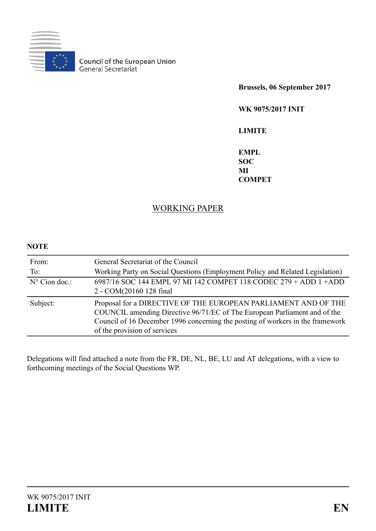

**Council of the European Union**<br>General Secretariat

**Brussels, 06 September 2017**

**WK 9075/2017 INIT**

**LIMITE**

**EMPL SOC MI COMPET**

# WORKING PAPER

# **NOTE**

| From:<br>To:           | General Secretariat of the Council<br>Working Party on Social Questions (Employment Policy and Related Legislation)                                                                                                                                           |
|------------------------|---------------------------------------------------------------------------------------------------------------------------------------------------------------------------------------------------------------------------------------------------------------|
| $N^{\circ}$ Cion doc.: | 6987/16 SOC 144 EMPL 97 MI 142 COMPET 118 CODEC 279 + ADD 1 + ADD<br>2 - COM(20160 128 final                                                                                                                                                                  |
| Subject:               | Proposal for a DIRECTIVE OF THE EUROPEAN PARLIAMENT AND OF THE<br>COUNCIL amending Directive 96/71/EC of The European Parliament and of the<br>Council of 16 December 1996 concerning the posting of workers in the framework<br>of the provision of services |

Delegations will find attached a note from the FR, DE, NL, BE, LU and AT delegations, with a view to forthcoming meetings of the Social Questions WP.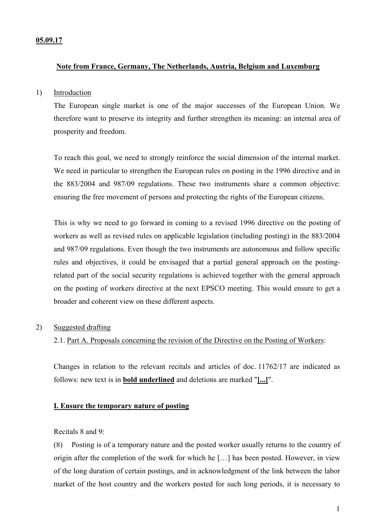### **05.09.17**

## **Note from France, Germany, The Netherlands, Austria, Belgium and Luxemburg**

### 1) Introduction

The European single market is one of the major successes of the European Union. We therefore want to preserve its integrity and further strengthen its meaning: an internal area of prosperity and freedom.

To reach this goal, we need to strongly reinforce the social dimension of the internal market. We need in particular to strengthen the European rules on posting in the 1996 directive and in the 883/2004 and 987/09 regulations. These two instruments share a common objective: ensuring the free movement of persons and protecting the rights of the European citizens.

This is why we need to go forward in coming to a revised 1996 directive on the posting of workers as well as revised rules on applicable legislation (including posting) in the 883/2004 and 987/09 regulations. Even though the two instruments are autonomous and follow specific rules and objectives, it could be envisaged that a partial general approach on the postingrelated part of the social security regulations is achieved together with the general approach on the posting of workers directive at the next EPSCO meeting. This would ensure to get a broader and coherent view on these different aspects.

### 2) Suggested drafting

## 2.1. Part A. Proposals concerning the revision of the Directive on the Posting of Workers:

Changes in relation to the relevant recitals and articles of doc. 11762/17 are indicated as follows: new text is in **bold underlined** and deletions are marked "**[...]**".

### **I. Ensure the temporary nature of posting**

Recitals 8 and 9:

(8) Posting is of a temporary nature and the posted worker usually returns to the country of origin after the completion of the work for which he […] has been posted. However, in view of the long duration of certain postings, and in acknowledgment of the link between the labor market of the host country and the workers posted for such long periods, it is necessary to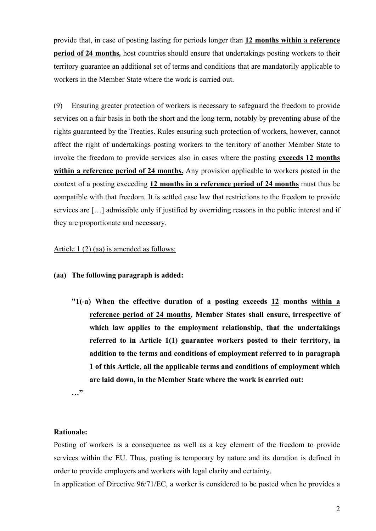provide that, in case of posting lasting for periods longer than **12 months within a reference period of 24 months***,* host countries should ensure that undertakings posting workers to their territory guarantee an additional set of terms and conditions that are mandatorily applicable to workers in the Member State where the work is carried out.

(9) Ensuring greater protection of workers is necessary to safeguard the freedom to provide services on a fair basis in both the short and the long term, notably by preventing abuse of the rights guaranteed by the Treaties. Rules ensuring such protection of workers, however, cannot affect the right of undertakings posting workers to the territory of another Member State to invoke the freedom to provide services also in cases where the posting **exceeds 12 months within a reference period of 24 months.** Any provision applicable to workers posted in the context of a posting exceeding **12 months in a reference period of 24 months** must thus be compatible with that freedom. It is settled case law that restrictions to the freedom to provide services are […] admissible only if justified by overriding reasons in the public interest and if they are proportionate and necessary.

### Article 1 (2) (aa) is amended as follows:

**(aa) The following paragraph is added:**

**"1(-a) When the effective duration of a posting exceeds 12 months within a reference period of 24 months, Member States shall ensure, irrespective of which law applies to the employment relationship, that the undertakings referred to in Article 1(1) guarantee workers posted to their territory, in addition to the terms and conditions of employment referred to in paragraph 1 of this Article, all the applicable terms and conditions of employment which are laid down, in the Member State where the work is carried out:**

**…"**

## **Rationale:**

Posting of workers is a consequence as well as a key element of the freedom to provide services within the EU. Thus, posting is temporary by nature and its duration is defined in order to provide employers and workers with legal clarity and certainty.

In application of Directive 96/71/EC, a worker is considered to be posted when he provides a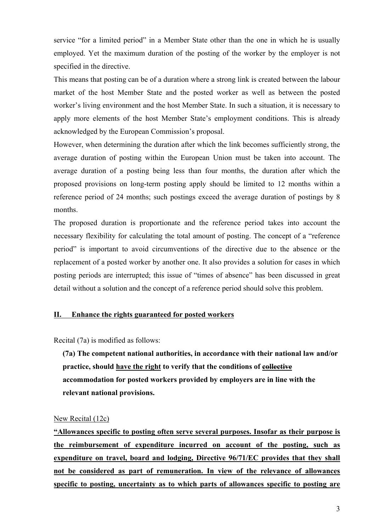service "for a limited period" in a Member State other than the one in which he is usually employed. Yet the maximum duration of the posting of the worker by the employer is not specified in the directive.

This means that posting can be of a duration where a strong link is created between the labour market of the host Member State and the posted worker as well as between the posted worker's living environment and the host Member State. In such a situation, it is necessary to apply more elements of the host Member State's employment conditions. This is already acknowledged by the European Commission's proposal.

However, when determining the duration after which the link becomes sufficiently strong, the average duration of posting within the European Union must be taken into account. The average duration of a posting being less than four months, the duration after which the proposed provisions on long-term posting apply should be limited to 12 months within a reference period of 24 months; such postings exceed the average duration of postings by 8 months.

The proposed duration is proportionate and the reference period takes into account the necessary flexibility for calculating the total amount of posting. The concept of a "reference period" is important to avoid circumventions of the directive due to the absence or the replacement of a posted worker by another one. It also provides a solution for cases in which posting periods are interrupted; this issue of "times of absence" has been discussed in great detail without a solution and the concept of a reference period should solve this problem.

## **II. Enhance the rights guaranteed for posted workers**

Recital (7a) is modified as follows:

**(7a) The competent national authorities, in accordance with their national law and/or practice, should have the right to verify that the conditions of collective accommodation for posted workers provided by employers are in line with the relevant national provisions.**

### New Recital (12c)

**"Allowances specific to posting often serve several purposes. Insofar as their purpose is the reimbursement of expenditure incurred on account of the posting, such as expenditure on travel, board and lodging, Directive 96/71/EC provides that they shall not be considered as part of remuneration. In view of the relevance of allowances specific to posting, uncertainty as to which parts of allowances specific to posting are**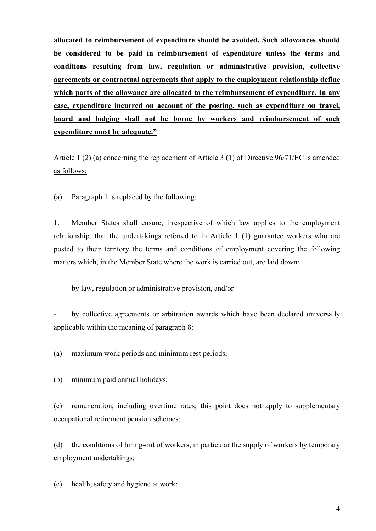**allocated to reimbursement of expenditure should be avoided. Such allowances should be considered to be paid in reimbursement of expenditure unless the terms and conditions resulting from law, regulation or administrative provision, collective agreements or contractual agreements that apply to the employment relationship define which parts of the allowance are allocated to the reimbursement of expenditure. In any case, expenditure incurred on account of the posting, such as expenditure on travel, board and lodging shall not be borne by workers and reimbursement of such expenditure must be adequate."**

Article 1 (2) (a) concerning the replacement of Article 3 (1) of Directive 96/71/EC is amended as follows:

(a) Paragraph 1 is replaced by the following:

1. Member States shall ensure, irrespective of which law applies to the employment relationship, that the undertakings referred to in Article 1 (1) guarantee workers who are posted to their territory the terms and conditions of employment covering the following matters which, in the Member State where the work is carried out, are laid down:

by law, regulation or administrative provision, and/or

by collective agreements or arbitration awards which have been declared universally applicable within the meaning of paragraph 8:

(a) maximum work periods and minimum rest periods;

(b) minimum paid annual holidays;

(c) remuneration, including overtime rates; this point does not apply to supplementary occupational retirement pension schemes;

(d) the conditions of hiring-out of workers, in particular the supply of workers by temporary employment undertakings;

(e) health, safety and hygiene at work;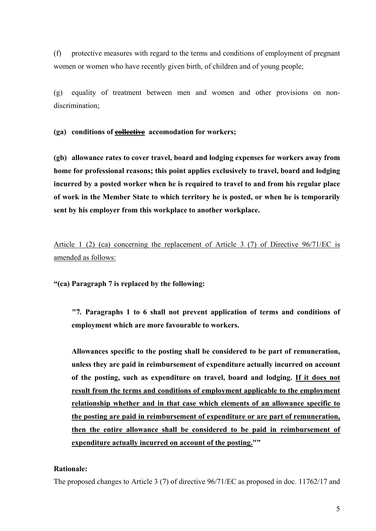(f) protective measures with regard to the terms and conditions of employment of pregnant women or women who have recently given birth, of children and of young people;

(g) equality of treatment between men and women and other provisions on nondiscrimination;

**(ga) conditions of collective accomodation for workers;**

**(gb) allowance rates to cover travel, board and lodging expenses for workers away from home for professional reasons; this point applies exclusively to travel, board and lodging incurred by a posted worker when he is required to travel to and from his regular place of work in the Member State to which territory he is posted, or when he is temporarily sent by his employer from this workplace to another workplace.**

Article 1 (2) (ca) concerning the replacement of Article 3 (7) of Directive 96/71/EC is amended as follows:

**"(ca) Paragraph 7 is replaced by the following:**

**"7***.* **Paragraphs 1 to 6 shall not prevent application of terms and conditions of employment which are more favourable to workers.**

**Allowances specific to the posting shall be considered to be part of remuneration, unless they are paid in reimbursement of expenditure actually incurred on account of the posting, such as expenditure on travel, board and lodging. If it does not result from the terms and conditions of employment applicable to the employment relationship whether and in that case which elements of an allowance specific to the posting are paid in reimbursement of expenditure or are part of remuneration, then the entire allowance shall be considered to be paid in reimbursement of expenditure actually incurred on account of the posting.""**

# **Rationale:**

The proposed changes to Article 3 (7) of directive 96/71/EC as proposed in doc. 11762/17 and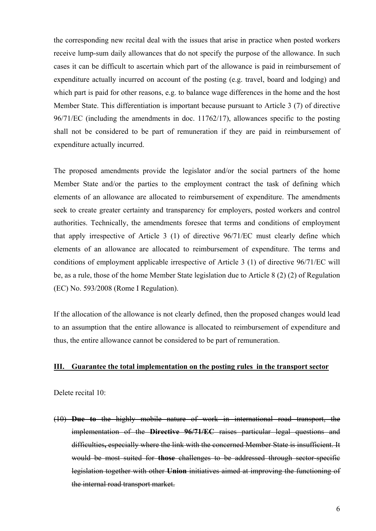the corresponding new recital deal with the issues that arise in practice when posted workers receive lump-sum daily allowances that do not specify the purpose of the allowance. In such cases it can be difficult to ascertain which part of the allowance is paid in reimbursement of expenditure actually incurred on account of the posting (e.g. travel, board and lodging) and which part is paid for other reasons, e.g. to balance wage differences in the home and the host Member State. This differentiation is important because pursuant to Article 3 (7) of directive 96/71/EC (including the amendments in doc. 11762/17), allowances specific to the posting shall not be considered to be part of remuneration if they are paid in reimbursement of expenditure actually incurred.

The proposed amendments provide the legislator and/or the social partners of the home Member State and/or the parties to the employment contract the task of defining which elements of an allowance are allocated to reimbursement of expenditure. The amendments seek to create greater certainty and transparency for employers, posted workers and control authorities. Technically, the amendments foresee that terms and conditions of employment that apply irrespective of Article 3 (1) of directive 96/71/EC must clearly define which elements of an allowance are allocated to reimbursement of expenditure. The terms and conditions of employment applicable irrespective of Article 3 (1) of directive 96/71/EC will be, as a rule, those of the home Member State legislation due to Article 8 (2) (2) of Regulation (EC) No. 593/2008 (Rome I Regulation).

If the allocation of the allowance is not clearly defined, then the proposed changes would lead to an assumption that the entire allowance is allocated to reimbursement of expenditure and thus, the entire allowance cannot be considered to be part of remuneration.

### **III. Guarantee the total implementation on the posting rules in the transport sector**

Delete recital 10:

(10) **Due to** the highly mobile nature of work in international road transport, the implementation of the **Directive 96/71/EC** raises particular legal questions and difficulties**,** especially where the link with the concerned Member State is insufficient. It would be most suited for **those** challenges to be addressed through sector-specific legislation together with other **Union** initiatives aimed at improving the functioning of the internal road transport market.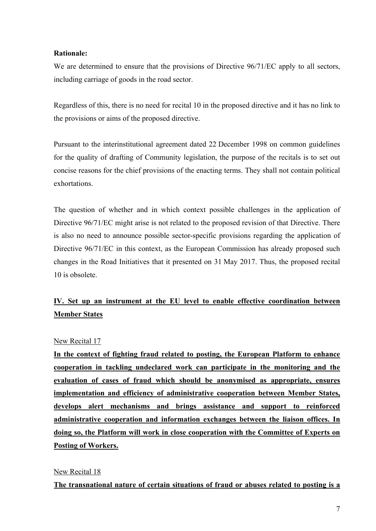## **Rationale:**

We are determined to ensure that the provisions of Directive  $96/71/EC$  apply to all sectors, including carriage of goods in the road sector.

Regardless of this, there is no need for recital 10 in the proposed directive and it has no link to the provisions or aims of the proposed directive.

Pursuant to the interinstitutional agreement dated 22 December 1998 on common guidelines for the quality of drafting of Community legislation, the purpose of the recitals is to set out concise reasons for the chief provisions of the enacting terms. They shall not contain political exhortations.

The question of whether and in which context possible challenges in the application of Directive 96/71/EC might arise is not related to the proposed revision of that Directive. There is also no need to announce possible sector-specific provisions regarding the application of Directive 96/71/EC in this context, as the European Commission has already proposed such changes in the Road Initiatives that it presented on 31 May 2017. Thus, the proposed recital 10 is obsolete.

# **IV. Set up an instrument at the EU level to enable effective coordination between Member States**

# New Recital 17

**In the context of fighting fraud related to posting, the European Platform to enhance cooperation in tackling undeclared work can participate in the monitoring and the evaluation of cases of fraud which should be anonymised as appropriate, ensures implementation and efficiency of administrative cooperation between Member States, develops alert mechanisms and brings assistance and support to reinforced administrative cooperation and information exchanges between the liaison offices. In doing so, the Platform will work in close cooperation with the Committee of Experts on Posting of Workers.**

## New Recital 18

**The transnational nature of certain situations of fraud or abuses related to posting is a**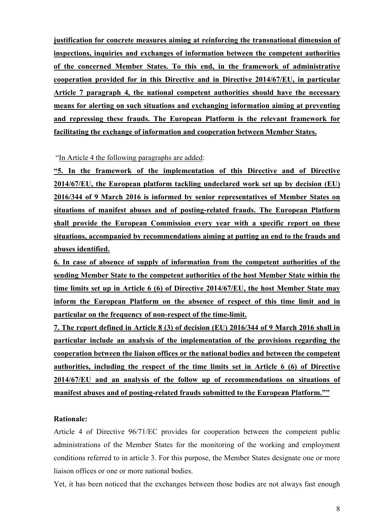**justification for concrete measures aiming at reinforcing the transnational dimension of inspections, inquiries and exchanges of information between the competent authorities of the concerned Member States. To this end, in the framework of administrative cooperation provided for in this Directive and in Directive 2014/67/EU, in particular Article 7 paragraph 4, the national competent authorities should have the necessary means for alerting on such situations and exchanging information aiming at preventing and repressing these frauds. The European Platform is the relevant framework for facilitating the exchange of information and cooperation between Member States.**

"In Article 4 the following paragraphs are added:

**"5. In the framework of the implementation of this Directive and of Directive 2014/67/EU, the European platform tackling undeclared work set up by decision (EU) 2016/344 of 9 March 2016 is informed by senior representatives of Member States on situations of manifest abuses and of posting-related frauds. The European Platform shall provide the European Commission every year with a specific report on these situations, accompanied by recommendations aiming at putting an end to the frauds and abuses identified.**

**6. In case of absence of supply of information from the competent authorities of the sending Member State to the competent authorities of the host Member State within the time limits set up in Article 6 (6) of Directive 2014/67/EU, the host Member State may inform the European Platform on the absence of respect of this time limit and in particular on the frequency of non-respect of the time-limit.**

**7. The report defined in Article 8 (3) of decision (EU) 2016/344 of 9 March 2016 shall in particular include an analysis of the implementation of the provisions regarding the cooperation between the liaison offices or the national bodies and between the competent authorities, including the respect of the time limits set in Article 6 (6) of Directive 2014/67/EU and an analysis of the follow up of recommendations on situations of manifest abuses and of posting-related frauds submitted to the European Platform.""**

### **Rationale:**

Article 4 of Directive 96/71/EC provides for cooperation between the competent public administrations of the Member States for the monitoring of the working and employment conditions referred to in article 3. For this purpose, the Member States designate one or more liaison offices or one or more national bodies.

Yet, it has been noticed that the exchanges between those bodies are not always fast enough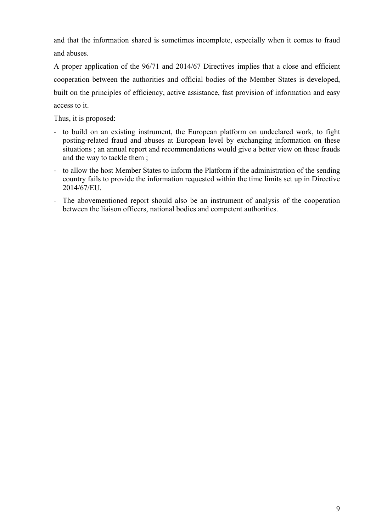and that the information shared is sometimes incomplete, especially when it comes to fraud and abuses.

A proper application of the 96/71 and 2014/67 Directives implies that a close and efficient cooperation between the authorities and official bodies of the Member States is developed, built on the principles of efficiency, active assistance, fast provision of information and easy access to it.

Thus, it is proposed:

- to build on an existing instrument, the European platform on undeclared work, to fight posting-related fraud and abuses at European level by exchanging information on these situations ; an annual report and recommendations would give a better view on these frauds and the way to tackle them ;
- to allow the host Member States to inform the Platform if the administration of the sending country fails to provide the information requested within the time limits set up in Directive 2014/67/EU.
- The abovementioned report should also be an instrument of analysis of the cooperation between the liaison officers, national bodies and competent authorities.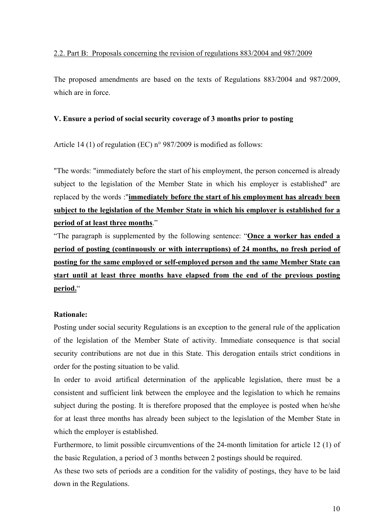The proposed amendments are based on the texts of Regulations 883/2004 and 987/2009, which are in force.

# **V. Ensure a period of social security coverage of 3 months prior to posting**

Article 14 (1) of regulation (EC) n° 987/2009 is modified as follows:

"The words: "immediately before the start of his employment, the person concerned is already subject to the legislation of the Member State in which his employer is established" are replaced by the words :"**immediately before the start of his employment has already been subject to the legislation of the Member State in which his employer is established for a period of at least three months**."

"The paragraph is supplemented by the following sentence: "**Once a worker has ended a period of posting (continuously or with interruptions) of 24 months, no fresh period of posting for the same employed or self-employed person and the same Member State can start until at least three months have elapsed from the end of the previous posting period.**"

# **Rationale:**

Posting under social security Regulations is an exception to the general rule of the application of the legislation of the Member State of activity. Immediate consequence is that social security contributions are not due in this State. This derogation entails strict conditions in order for the posting situation to be valid.

In order to avoid artifical determination of the applicable legislation, there must be a consistent and sufficient link between the employee and the legislation to which he remains subject during the posting. It is therefore proposed that the employee is posted when he/she for at least three months has already been subject to the legislation of the Member State in which the employer is established.

Furthermore, to limit possible circumventions of the 24-month limitation for article 12 (1) of the basic Regulation, a period of 3 months between 2 postings should be required.

As these two sets of periods are a condition for the validity of postings, they have to be laid down in the Regulations.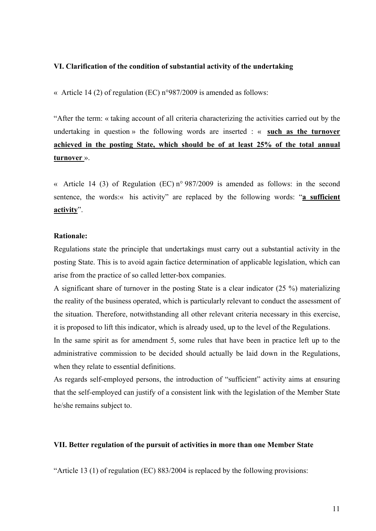## **VI. Clarification of the condition of substantial activity of the undertaking**

« Article 14 (2) of regulation (EC) n°987/2009 is amended as follows:

"After the term: « taking account of all criteria characterizing the activities carried out by the undertaking in question » the following words are inserted : « **such as the turnover achieved in the posting State, which should be of at least 25% of the total annual turnover** ».

« Article 14 (3) of Regulation (EC) n° 987/2009 is amended as follows: in the second sentence, the words:« his activity" are replaced by the following words: "**a sufficient activity**".

### **Rationale:**

Regulations state the principle that undertakings must carry out a substantial activity in the posting State. This is to avoid again factice determination of applicable legislation, which can arise from the practice of so called letter-box companies.

A significant share of turnover in the posting State is a clear indicator (25 %) materializing the reality of the business operated, which is particularly relevant to conduct the assessment of the situation. Therefore, notwithstanding all other relevant criteria necessary in this exercise, it is proposed to lift this indicator, which is already used, up to the level of the Regulations.

In the same spirit as for amendment 5, some rules that have been in practice left up to the administrative commission to be decided should actually be laid down in the Regulations, when they relate to essential definitions.

As regards self-employed persons, the introduction of "sufficient" activity aims at ensuring that the self-employed can justify of a consistent link with the legislation of the Member State he/she remains subject to.

## **VII. Better regulation of the pursuit of activities in more than one Member State**

"Article 13 (1) of regulation (EC) 883/2004 is replaced by the following provisions: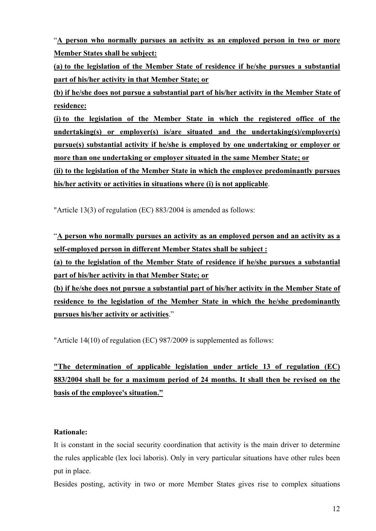"**A person who normally pursues an activity as an employed person in two or more Member States shall be subject:**

**(a) to the legislation of the Member State of residence if he/she pursues a substantial part of his/her activity in that Member State; or**

**(b) if he/she does not pursue a substantial part of his/her activity in the Member State of residence:**

**(i) to the legislation of the Member State in which the registered office of the undertaking(s) or employer(s) is/are situated and the undertaking(s)/employer(s) pursue(s) substantial activity if he/she is employed by one undertaking or employer or more than one undertaking or employer situated in the same Member State; or**

**(ii) to the legislation of the Member State in which the employee predominantly pursues his/her activity or activities in situations where (i) is not applicable**.

"Article 13(3) of regulation (EC) 883/2004 is amended as follows:

"**A person who normally pursues an activity as an employed person and an activity as a self-employed person in different Member States shall be subject :**

**(a) to the legislation of the Member State of residence if he/she pursues a substantial part of his/her activity in that Member State; or**

**(b) if he/she does not pursue a substantial part of his/her activity in the Member State of residence to the legislation of the Member State in which the he/she predominantly pursues his/her activity or activities**."

"Article 14(10) of regulation (EC) 987/2009 is supplemented as follows:

**"The determination of applicable legislation under article 13 of regulation (EC) 883/2004 shall be for a maximum period of 24 months. It shall then be revised on the basis of the employee's situation."**

# **Rationale:**

It is constant in the social security coordination that activity is the main driver to determine the rules applicable (lex loci laboris). Only in very particular situations have other rules been put in place.

Besides posting, activity in two or more Member States gives rise to complex situations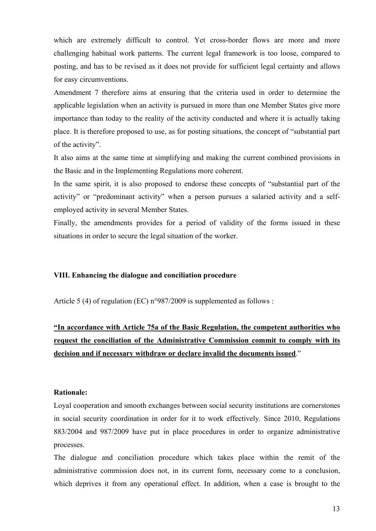which are extremely difficult to control. Yet cross-border flows are more and more challenging habitual work patterns. The current legal framework is too loose, compared to posting, and has to be revised as it does not provide for sufficient legal certainty and allows for easy circumventions.

Amendment 7 therefore aims at ensuring that the criteria used in order to determine the applicable legislation when an activity is pursued in more than one Member States give more importance than today to the reality of the activity conducted and where it is actually taking place. It is therefore proposed to use, as for posting situations, the concept of "substantial part of the activity".

It also aims at the same time at simplifying and making the current combined provisions in the Basic and in the Implementing Regulations more coherent.

In the same spirit, it is also proposed to endorse these concepts of "substantial part of the activity" or "predominant activity" when a person pursues a salaried activity and a selfemployed activity in several Member States.

Finally, the amendments provides for a period of validity of the forms issued in these situations in order to secure the legal situation of the worker.

### **VIII. Enhancing the dialogue and conciliation procedure**

Article 5 (4) of regulation (EC) n°987/2009 is supplemented as follows :

# **"In accordance with Article 75a of the Basic Regulation, the competent authorities who request the conciliation of the Administrative Commission commit to comply with its decision and if necessary withdraw or declare invalid the documents issued**."

### **Rationale:**

Loyal cooperation and smooth exchanges between social security institutions are cornerstones in social security coordination in order for it to work effectively. Since 2010, Regulations 883/2004 and 987/2009 have put in place procedures in order to organize administrative processes.

The dialogue and conciliation procedure which takes place within the remit of the administrative commission does not, in its current form, necessary come to a conclusion, which deprives it from any operational effect. In addition, when a case is brought to the